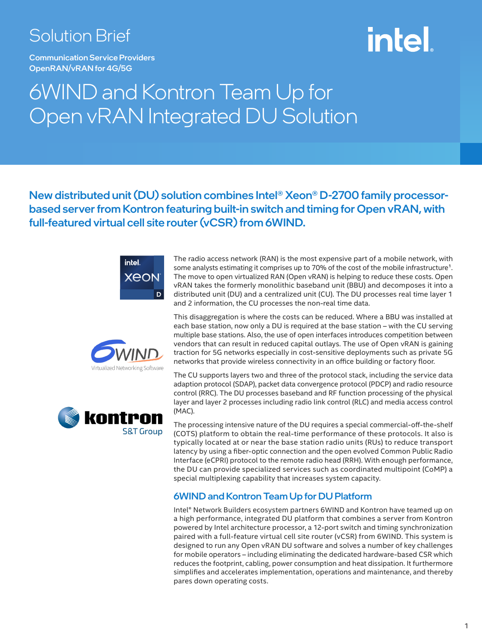### Solution Brief

Communication Service Providers OpenRAN/vRAN for 4G/5G

# intel

### 6WIND and Kontron Team Up for Open vRAN Integrated DU Solution

New distributed unit (DU) solution combines Intel® Xeon® D-2700 family processorbased server from Kontron featuring built-in switch and timing for Open vRAN, with full-featured virtual cell site router (vCSR) from 6WIND.







The radio access network (RAN) is the most expensive part of a mobile network, with some analysts estimating it comprises up to 70% of the cost of the mobile infrastructure<sup>1</sup>. The move to open virtualized RAN (Open vRAN) is helping to reduce these costs. Open vRAN takes the formerly monolithic baseband unit (BBU) and decomposes it into a distributed unit (DU) and a centralized unit (CU). The DU processes real time layer 1 and 2 information, the CU processes the non-real time data.

This disaggregation is where the costs can be reduced. Where a BBU was installed at each base station, now only a DU is required at the base station – with the CU serving multiple base stations. Also, the use of open interfaces introduces competition between vendors that can result in reduced capital outlays. The use of Open vRAN is gaining traction for 5G networks especially in cost-sensitive deployments such as private 5G networks that provide wireless connectivity in an office building or factory floor.

The CU supports layers two and three of the protocol stack, including the service data adaption protocol (SDAP), packet data convergence protocol (PDCP) and radio resource control (RRC). The DU processes baseband and RF function processing of the physical layer and layer 2 processes including radio link control (RLC) and media access control (MAC).

The processing intensive nature of the DU requires a special commercial-off-the-shelf (COTS) platform to obtain the real-time performance of these protocols. It also is typically located at or near the base station radio units (RUs) to reduce transport latency by using a fiber-optic connection and the open evolved Common Public Radio Interface (eCPRI) protocol to the remote radio head (RRH). With enough performance, the DU can provide specialized services such as coordinated multipoint (CoMP) a special multiplexing capability that increases system capacity.

#### 6WIND and Kontron Team Up for DU Platform

Intel® Network Builders ecosystem partners 6WIND and Kontron have teamed up on a high performance, integrated DU platform that combines a server from Kontron powered by Intel architecture processor, a 12-port switch and timing synchronization paired with a full-feature virtual cell site router (vCSR) from 6WIND. This system is designed to run any Open vRAN DU software and solves a number of key challenges for mobile operators – including eliminating the dedicated hardware-based CSR which reduces the footprint, cabling, power consumption and heat dissipation. It furthermore simplifies and accelerates implementation, operations and maintenance, and thereby pares down operating costs.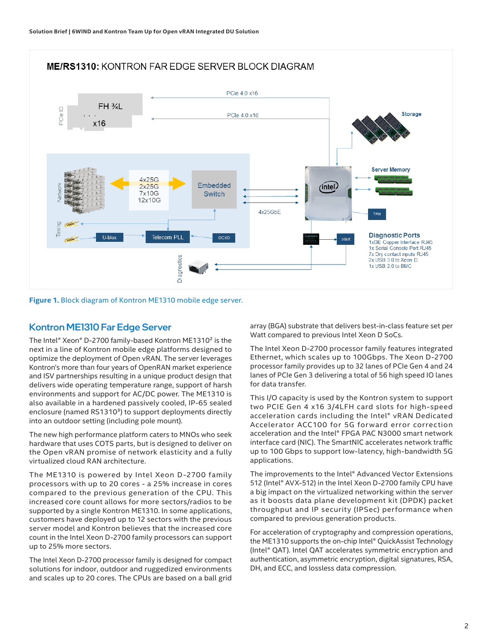#### **ME/RS1310: KONTRON FAR EDGE SERVER BLOCK DIAGRAM**



**Figure 1.** Block diagram of Kontron ME1310 mobile edge server.

#### Kontron ME1310 Far Edge Server

The Intel® Xeon® D-2700 family-based Kontron ME1310² is the next in a line of Kontron mobile edge platforms designed to optimize the deployment of Open vRAN. The server leverages Kontron's more than four years of OpenRAN market experience and ISV partnerships resulting in a unique product design that delivers wide operating temperature range, support of harsh environments and support for AC/DC power. The ME1310 is also available in a hardened passively cooled, IP-65 sealed enclosure (named RS1310<sup>3</sup>) to support deployments directly into an outdoor setting (including pole mount).

The new high performance platform caters to MNOs who seek hardware that uses COTS parts, but is designed to deliver on the Open vRAN promise of network elasticity and a fully virtualized cloud RAN architecture.

The ME1310 is powered by Intel Xeon D-2700 family processors with up to 20 cores - a 25% increase in cores compared to the previous generation of the CPU. This increased core count allows for more sectors/radios to be supported by a single Kontron ME1310. In some applications, customers have deployed up to 12 sectors with the previous server model and Kontron believes that the increased core count in the Intel Xeon D-2700 family processors can support up to 25% more sectors.

The Intel Xeon D-2700 processor family is designed for compact solutions for indoor, outdoor and ruggedized environments and scales up to 20 cores. The CPUs are based on a ball grid

array (BGA) substrate that delivers best-in-class feature set per Watt compared to previous Intel Xeon D SoCs.

The Intel Xeon D-2700 processor family features integrated Ethernet, which scales up to 100Gbps. The Xeon D-2700 processor family provides up to 32 lanes of PCIe Gen 4 and 24 lanes of PCIe Gen 3 delivering a total of 56 high speed IO lanes for data transfer.

This I/O capacity is used by the Kontron system to support two PCIE Gen 4 x16 3/4LFH card slots for high-speed acceleration cards including the Intel® vRAN Dedicated Accelerator ACC100 for 5G forward error correction acceleration and the Intel® FPGA PAC N3000 smart network interface card (NIC). The SmartNIC accelerates network traffic up to 100 Gbps to support low-latency, high-bandwidth 5G applications.

The improvements to the Intel® Advanced Vector Extensions 512 (Intel® AVX-512) in the Intel Xeon D-2700 family CPU have a big impact on the virtualized networking within the server as it boosts data plane development kit (DPDK) packet throughput and IP security (IPSec) performance when compared to previous generation products.

For acceleration of cryptography and compression operations, the ME1310 supports the on-chip Intel® QuickAssist Technology (Intel® QAT). Intel QAT accelerates symmetric encryption and authentication, asymmetric encryption, digital signatures, RSA, DH, and ECC, and lossless data compression.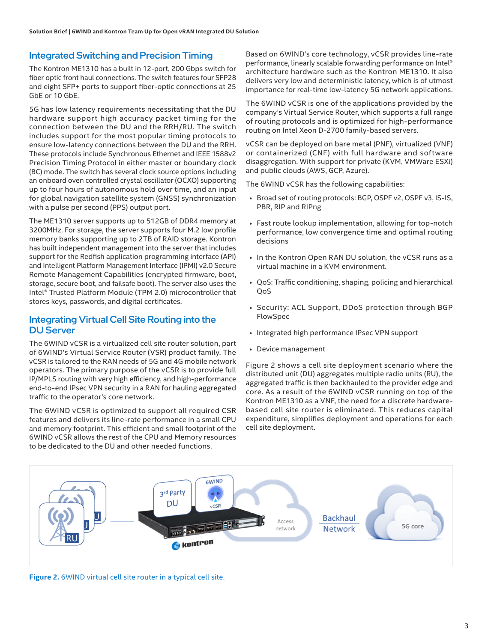#### Integrated Switching and Precision Timing

The Kontron ME1310 has a built in 12-port, 200 Gbps switch for fiber optic front haul connections. The switch features four SFP28 and eight SFP+ ports to support fiber-optic connections at 25 GbE or 10 GbE.

5G has low latency requirements necessitating that the DU hardware support high accuracy packet timing for the connection between the DU and the RRH/RU. The switch includes support for the most popular timing protocols to ensure low-latency connections between the DU and the RRH. These protocols include Synchronous Ethernet and IEEE 1588v2 Precision Timing Protocol in either master or boundary clock (BC) mode. The switch has several clock source options including an onboard oven controlled crystal oscillator (OCXO) supporting up to four hours of autonomous hold over time, and an input for global navigation satellite system (GNSS) synchronization with a pulse per second (PPS) output port.

The ME1310 server supports up to 512GB of DDR4 memory at 3200MHz. For storage, the server supports four M.2 low profile memory banks supporting up to 2TB of RAID storage. Kontron has built independent management into the server that includes support for the Redfish application programming interface (API) and Intelligent Platform Management Interface (IPMI) v2.0 Secure Remote Management Capabilities (encrypted firmware, boot, storage, secure boot, and failsafe boot). The server also uses the Intel® Trusted Platform Module (TPM 2.0) microcontroller that stores keys, passwords, and digital certificates.

#### Integrating Virtual Cell Site Routing into the DU Server

The 6WIND vCSR is a virtualized cell site router solution, part of 6WIND's Virtual Service Router (VSR) product family. The vCSR is tailored to the RAN needs of 5G and 4G mobile network operators. The primary purpose of the vCSR is to provide full IP/MPLS routing with very high efficiency, and high-performance end-to-end IPsec VPN security in a RAN for hauling aggregated traffic to the operator's core network.

The 6WIND vCSR is optimized to support all required CSR features and delivers its line-rate performance in a small CPU and memory footprint. This efficient and small footprint of the 6WIND vCSR allows the rest of the CPU and Memory resources to be dedicated to the DU and other needed functions.

Based on 6WIND's core technology, vCSR provides line-rate performance, linearly scalable forwarding performance on Intel® architecture hardware such as the Kontron ME1310. It also delivers very low and deterministic latency, which is of utmost importance for real-time low-latency 5G network applications.

The 6WIND vCSR is one of the applications provided by the company's Virtual Service Router, which supports a full range of routing protocols and is optimized for high-performance routing on Intel Xeon D-2700 family-based servers.

vCSR can be deployed on bare metal (PNF), virtualized (VNF) or containerized (CNF) with full hardware and software disaggregation. With support for private (KVM, VMWare ESXi) and public clouds (AWS, GCP, Azure).

The 6WIND vCSR has the following capabilities:

- Broad set of routing protocols: BGP, OSPF v2, OSPF v3, IS-IS, PBR, RIP and RIPng
- Fast route lookup implementation, allowing for top-notch performance, low convergence time and optimal routing decisions
- In the Kontron Open RAN DU solution, the vCSR runs as a virtual machine in a KVM environment.
- QoS: Traffic conditioning, shaping, policing and hierarchical QoS
- Security: ACL Support, DDoS protection through BGP FlowSpec
- Integrated high performance IPsec VPN support
- Device management

Figure 2 shows a cell site deployment scenario where the distributed unit (DU) aggregates multiple radio units (RU), the aggregated traffic is then backhauled to the provider edge and core. As a result of the 6WIND vCSR running on top of the Kontron ME1310 as a VNF, the need for a discrete hardwarebased cell site router is eliminated. This reduces capital expenditure, simplifies deployment and operations for each cell site deployment.



**Figure 2.** 6WIND virtual cell site router in a typical cell site.